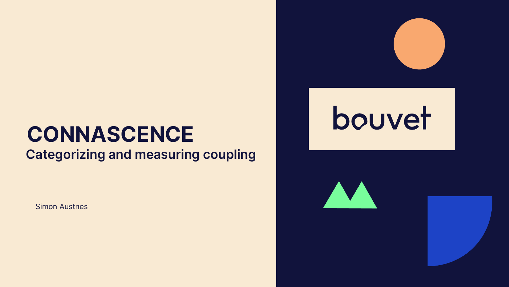## **CONNASCENCE**

**Categorizing and measuring coupling**

Simon Austnes



# bouvet



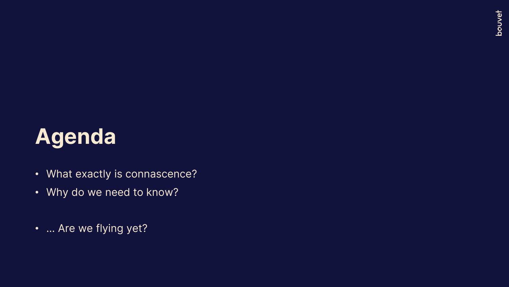## Agenda

- What exactly is connascence?
- Why do we need to know?
- … Are we flying yet?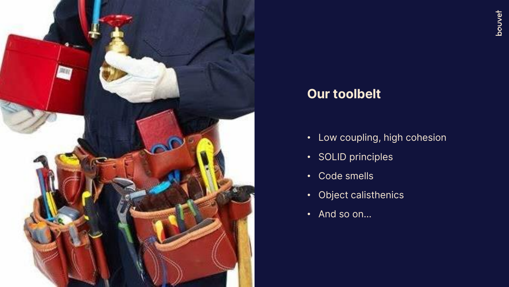

#### Our toolbelt

- Low coupling, high cohesion
- SOLID principles
- Code smells
- Object calisthenics
- And so on…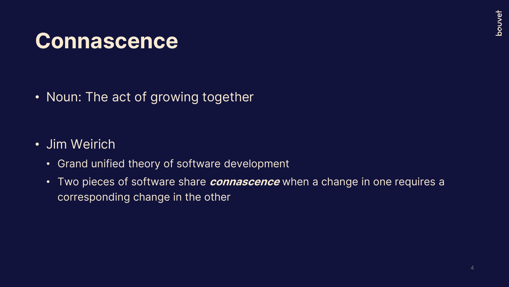## **Connascence**

• Noun: The act of growing together

- Jim Weirich
	- Grand unified theory of software development
	- Two pieces of software share *connascence* when a change in one requires a corresponding change in the other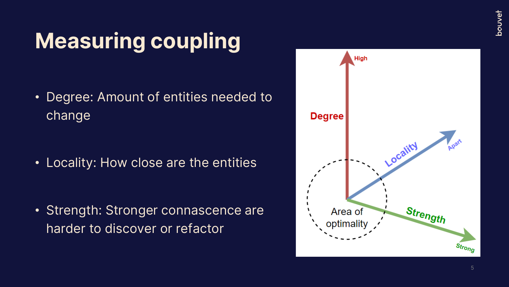## Measuring coupling

• Degree: Amount of entities needed to change

• Locality: How close are the entities

• Strength: Stronger connascence are harder to discover or refactor

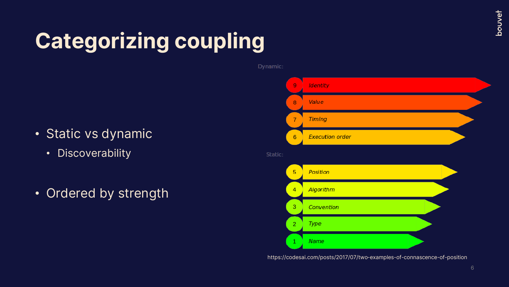## Categorizing coupling

- Static vs dynamic
	- Discoverability
- Ordered by strength



https://codesai.com/posts/2017/07/two-examples-of-connascence-of-position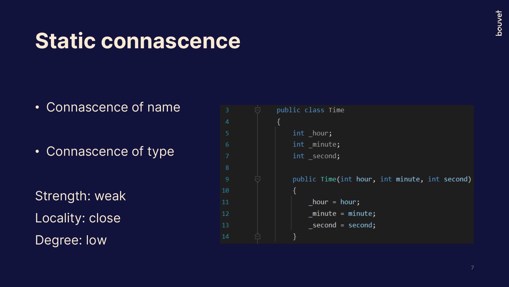## Static connascence

• Connascence of name

• Connascence of type

Strength: weak Locality: close Degree: low

```
public class Time
                 int hour;
                 int minute;
 6
                 int second;
8
                 public Time(int hour, int minute, int second)
10hour = hour;11
12minute = minute;_second = second;
14
```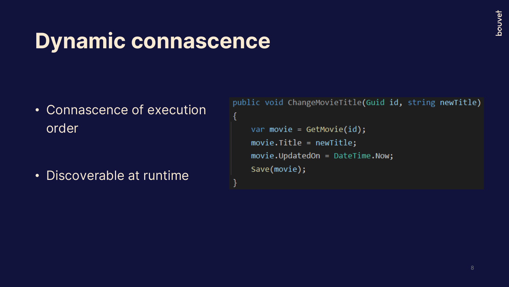## bouvet

## Dynamic connascence

• Connascence of execution order

• Discoverable at runtime

public void ChangeMovieTitle(Guid id, string newTitle)

```
var movie = GetMovie(id);movie. Title = newTitle;
movie.UpdatedOn = DateTime.Now;
Save(movie);
```
{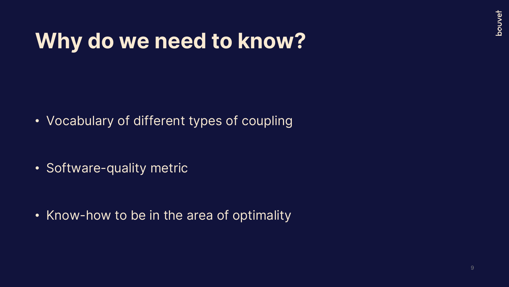## Why do we need to know?

• Vocabulary of different types of coupling

• Software-quality metric

• Know-how to be in the area of optimality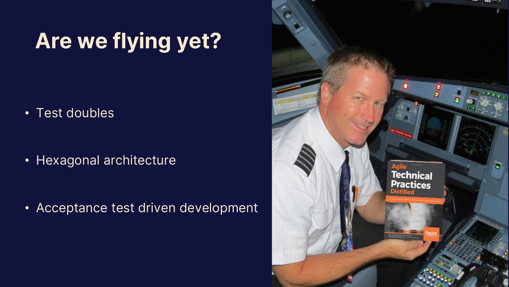## Are we flying yet?

• Test doubles

• Hexagonal architecture

• Acceptance test driven development

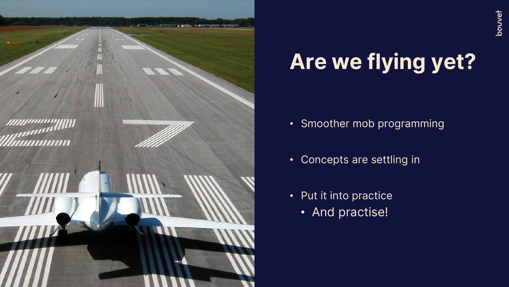

## Are we flying yet?

- Smoother mob programming
- Concepts are settling in
- Put it into practice
	- And practise!